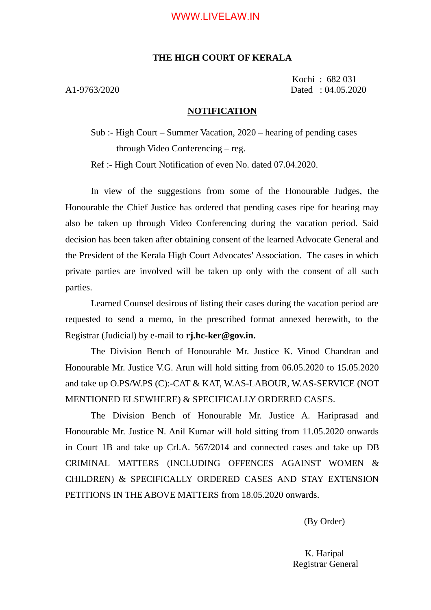### WWW.LIVELAW.IN

#### **THE HIGH COURT OF KERALA**

Kochi : 682 031 A1-9763/2020 Dated : 04.05.2020

#### **NOTIFICATION**

Sub :- High Court – Summer Vacation, 2020 – hearing of pending cases through Video Conferencing – reg.

Ref :- High Court Notification of even No. dated 07.04.2020.

In view of the suggestions from some of the Honourable Judges, the Honourable the Chief Justice has ordered that pending cases ripe for hearing may also be taken up through Video Conferencing during the vacation period. Said decision has been taken after obtaining consent of the learned Advocate General and the President of the Kerala High Court Advocates' Association. The cases in which private parties are involved will be taken up only with the consent of all such parties.

Learned Counsel desirous of listing their cases during the vacation period are requested to send a memo, in the prescribed format annexed herewith, to the Registrar (Judicial) by e-mail to **rj.hc-ker@gov.in.**

The Division Bench of Honourable Mr. Justice K. Vinod Chandran and Honourable Mr. Justice V.G. Arun will hold sitting from 06.05.2020 to 15.05.2020 and take up O.PS/W.PS (C):-CAT & KAT, W.AS-LABOUR, W.AS-SERVICE (NOT MENTIONED ELSEWHERE) & SPECIFICALLY ORDERED CASES.

The Division Bench of Honourable Mr. Justice A. Hariprasad and Honourable Mr. Justice N. Anil Kumar will hold sitting from 11.05.2020 onwards in Court 1B and take up Crl.A. 567/2014 and connected cases and take up DB CRIMINAL MATTERS (INCLUDING OFFENCES AGAINST WOMEN & CHILDREN) & SPECIFICALLY ORDERED CASES AND STAY EXTENSION PETITIONS IN THE ABOVE MATTERS from 18.05.2020 onwards.

(By Order)

K. Haripal Registrar General